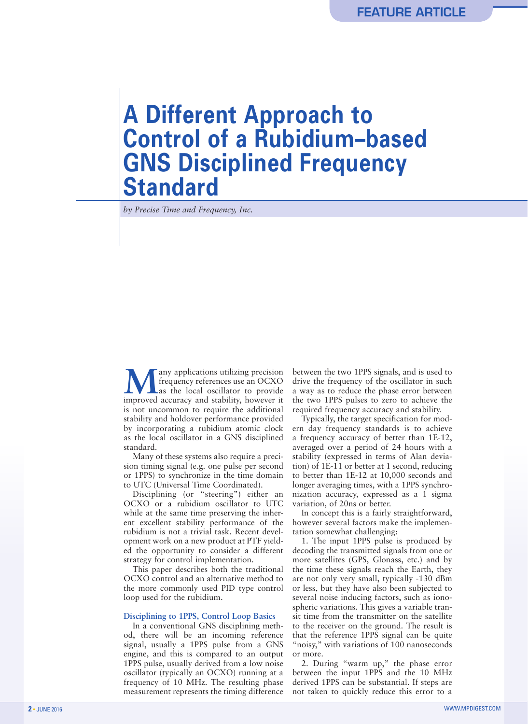# **A Different Approach to Control of a Rubidium–based GNS Disciplined Frequency Standard**

*by Precise Time and Frequency, Inc.*

any applications utilizing precision frequency references use an OCXO as the local oscillator to provide improved accuracy and stability, however it is not uncommon to require the additional stability and holdover performance provided by incorporating a rubidium atomic clock as the local oscillator in a GNS disciplined standard.

Many of these systems also require a precision timing signal (e.g. one pulse per second or 1PPS) to synchronize in the time domain to UTC (Universal Time Coordinated).

Disciplining (or "steering") either an OCXO or a rubidium oscillator to UTC while at the same time preserving the inherent excellent stability performance of the rubidium is not a trivial task. Recent development work on a new product at PTF yielded the opportunity to consider a different strategy for control implementation.

This paper describes both the traditional OCXO control and an alternative method to the more commonly used PID type control loop used for the rubidium.

#### **Disciplining to 1PPS, Control Loop Basics**

In a conventional GNS disciplining method, there will be an incoming reference signal, usually a 1PPS pulse from a GNS engine, and this is compared to an output 1PPS pulse, usually derived from a low noise oscillator (typically an OCXO) running at a frequency of 10 MHz. The resulting phase measurement represents the timing difference

between the two 1PPS signals, and is used to drive the frequency of the oscillator in such a way as to reduce the phase error between the two 1PPS pulses to zero to achieve the required frequency accuracy and stability.

Typically, the target specification for modern day frequency standards is to achieve a frequency accuracy of better than 1E-12, averaged over a period of 24 hours with a stability (expressed in terms of Alan deviation) of 1E-11 or better at 1 second, reducing to better than 1E-12 at 10,000 seconds and longer averaging times, with a 1PPS synchronization accuracy, expressed as a 1 sigma variation, of 20ns or better.

In concept this is a fairly straightforward, however several factors make the implementation somewhat challenging:

1. The input 1PPS pulse is produced by decoding the transmitted signals from one or more satellites (GPS, Glonass, etc.) and by the time these signals reach the Earth, they are not only very small, typically -130 dBm or less, but they have also been subjected to several noise inducing factors, such as ionospheric variations. This gives a variable transit time from the transmitter on the satellite to the receiver on the ground. The result is that the reference 1PPS signal can be quite "noisy," with variations of 100 nanoseconds or more.

2. During "warm up," the phase error between the input 1PPS and the 10 MHz derived 1PPS can be substantial. If steps are not taken to quickly reduce this error to a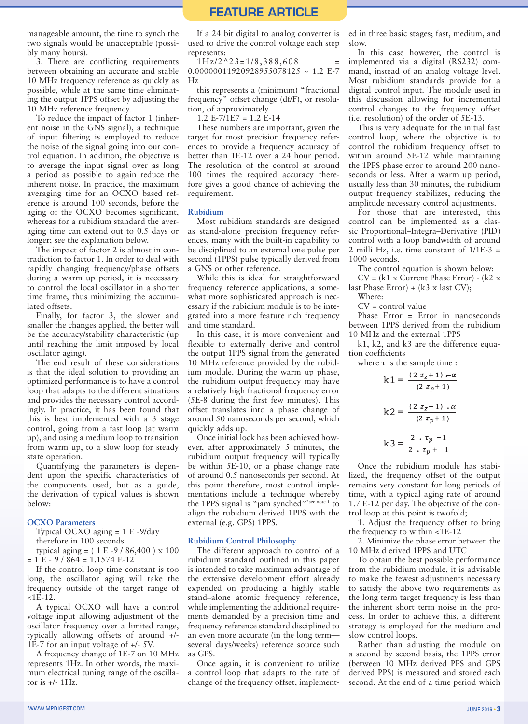manageable amount, the time to synch the two signals would be unacceptable (possibly many hours).

3. There are conflicting requirements between obtaining an accurate and stable 10 MHz frequency reference as quickly as possible, while at the same time eliminating the output 1PPS offset by adjusting the 10 MHz reference frequency.

To reduce the impact of factor 1 (inherent noise in the GNS signal), a technique of input filtering is employed to reduce the noise of the signal going into our control equation. In addition, the objective is to average the input signal over as long a period as possible to again reduce the inherent noise. In practice, the maximum averaging time for an OCXO based reference is around 100 seconds, before the aging of the OCXO becomes significant, whereas for a rubidium standard the averaging time can extend out to 0.5 days or longer; see the explanation below.

The impact of factor 2 is almost in contradiction to factor 1. In order to deal with rapidly changing frequency/phase offsets during a warm up period, it is necessary to control the local oscillator in a shorter time frame, thus minimizing the accumulated offsets.

Finally, for factor 3, the slower and smaller the changes applied, the better will be the accuracy/stability characteristic (up until reaching the limit imposed by local oscillator aging).

The end result of these considerations is that the ideal solution to providing an optimized performance is to have a control loop that adapts to the different situations and provides the necessary control accordingly. In practice, it has been found that this is best implemented with a 3 stage control, going from a fast loop (at warm up), and using a medium loop to transition from warm up, to a slow loop for steady state operation.

Quantifying the parameters is dependent upon the specific characteristics of the components used, but as a guide, the derivation of typical values is shown below:

#### **OCXO Parameters**

Typical OCXO aging = 1 E -9/day therefore in 100 seconds

typical aging =  $(1 E - 9 / 86,400) \times 100$  $= 1 E - 9 / 864 = 1.1574 E - 12$ 

If the control loop time constant is too long, the oscillator aging will take the frequency outside of the target range of  $<$ 1E-12.

A typical OCXO will have a control voltage input allowing adjustment of the oscillator frequency over a limited range, typically allowing offsets of around +/- 1E-7 for an input voltage of +/- 5V.

A frequency change of 1E-7 on 10 MHz represents 1Hz. In other words, the maximum electrical tuning range of the oscillator is  $+/-$  1Hz.

If a 24 bit digital to analog converter is used to drive the control voltage each step represents:

 $1\text{Hz}/2$ ^23= $1/8,388,608$ 

0.00000011920928955078125 ~ 1.2 E-7 Hz

this represents a (minimum) "fractional frequency" offset change (df/F), or resolution, of approximately

1.2 E-7/1E7 = 1.2 E-14

These numbers are important, given the target for most precision frequency references to provide a frequency accuracy of better than 1E-12 over a 24 hour period. The resolution of the control at around 100 times the required accuracy therefore gives a good chance of achieving the requirement.

#### **Rubidium**

Most rubidium standards are designed as stand-alone precision frequency references, many with the built-in capability to be disciplined to an external one pulse per second (1PPS) pulse typically derived from a GNS or other reference.

While this is ideal for straightforward frequency reference applications, a somewhat more sophisticated approach is necessary if the rubidium module is to be integrated into a more feature rich frequency and time standard.

In this case, it is more convenient and flexible to externally derive and control the output 1PPS signal from the generated 10 MHz reference provided by the rubidium module. During the warm up phase, the rubidium output frequency may have a relatively high fractional frequency error (5E-8 during the first few minutes). This offset translates into a phase change of around 50 nanoseconds per second, which quickly adds up.

Once initial lock has been achieved however, after approximately 5 minutes, the rubidium output frequency will typically be within 5E-10, or a phase change rate of around 0.5 nanoseconds per second. At this point therefore, most control implementations include a technique whereby the 1PPS signal is "jam synched"\*see note 1 to align the rubidium derived 1PPS with the external (e.g. GPS) 1PPS.

#### **Rubidium Control Philosophy**

The different approach to control of a rubidium standard outlined in this paper is intended to take maximum advantage of the extensive development effort already expended on producing a highly stable stand–alone atomic frequency reference, while implementing the additional requirements demanded by a precision time and frequency reference standard disciplined to an even more accurate (in the long term several days/weeks) reference source such as GPS.

Once again, it is convenient to utilize a control loop that adapts to the rate of change of the frequency offset, implemented in three basic stages; fast, medium, and slow.

In this case however, the control is implemented via a digital (RS232) command, instead of an analog voltage level. Most rubidium standards provide for a digital control input. The module used in this discussion allowing for incremental control changes to the frequency offset (i.e. resolution) of the order of 5E-13.

This is very adequate for the initial fast control loop, where the objective is to control the rubidium frequency offset to within around 5E-12 while maintaining the 1PPS phase error to around 200 nanoseconds or less. After a warm up period, usually less than 30 minutes, the rubidium output frequency stabilizes, reducing the amplitude necessary control adjustments.

For those that are interested, this control can be implemented as a classic Proportional–Integra–Derivative (PID) control with a loop bandwidth of around 2 milli Hz, i.e. time constant of 1/1E-3 = 1000 seconds.

The control equation is shown below:

 $CV = (k1 \times Current Phase Error) - (k2 \times$ last Phase Error) + (k3 x last CV);

Where:

 $CV = control value$ 

Phase Error = Error in nanoseconds between 1PPS derived from the rubidium 10 MHz and the external 1PPS

k1, k2, and k3 are the difference equation coefficients

where  $\tau$  is the sample time :

$$
k1 = \frac{(2 \tau_z + 1) - \alpha}{(2 \tau_p + 1)}
$$

$$
k2 = \frac{(2 \tau_z - 1) \cdot \alpha}{(2 \tau_p + 1)}
$$

$$
k3 = \frac{2 \cdot \tau_p - 1}{2 \cdot \tau_p + 1}
$$

Once the rubidium module has stabilized, the frequency offset of the output remains very constant for long periods of time, with a typical aging rate of around 1.7 E-12 per day. The objective of the control loop at this point is twofold;

1. Adjust the frequency offset to bring the frequency to within <1E-12

2. Minimize the phase error between the 10 MHz d erived 1PPS and UTC

To obtain the best possible performance from the rubidium module, it is advisable to make the fewest adjustments necessary to satisfy the above two requirements as the long term target frequency is less than the inherent short term noise in the process. In order to achieve this, a different strategy is employed for the medium and slow control loops.

Rather than adjusting the module on a second by second basis, the 1PPS error (between 10 MHz derived PPS and GPS derived PPS) is measured and stored each second. At the end of a time period which